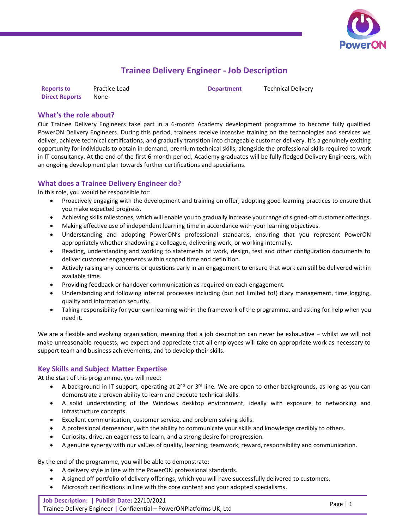

# **Trainee Delivery Engineer - Job Description**

| <b>Reports to</b>     | Practice Lead | <b>Department</b> | <b>Technical Delivery</b> |
|-----------------------|---------------|-------------------|---------------------------|
| <b>Direct Reports</b> | None          |                   |                           |

#### **What's the role about?**

Our Trainee Delivery Engineers take part in a 6-month Academy development programme to become fully qualified PowerON Delivery Engineers. During this period, trainees receive intensive training on the technologies and services we deliver, achieve technical certifications, and gradually transition into chargeable customer delivery. It's a genuinely exciting opportunity for individuals to obtain in-demand, premium technical skills, alongside the professional skills required to work in IT consultancy. At the end of the first 6-month period, Academy graduates will be fully fledged Delivery Engineers, with an ongoing development plan towards further certifications and specialisms.

### **What does a Trainee Delivery Engineer do?**

In this role, you would be responsible for:

- Proactively engaging with the development and training on offer, adopting good learning practices to ensure that you make expected progress.
- Achieving skills milestones, which will enable you to gradually increase your range of signed-off customer offerings.
- Making effective use of independent learning time in accordance with your learning objectives.
- Understanding and adopting PowerON's professional standards, ensuring that you represent PowerON appropriately whether shadowing a colleague, delivering work, or working internally.
- Reading, understanding and working to statements of work, design, test and other configuration documents to deliver customer engagements within scoped time and definition.
- Actively raising any concerns or questions early in an engagement to ensure that work can still be delivered within available time.
- Providing feedback or handover communication as required on each engagement.
- Understanding and following internal processes including (but not limited to!) diary management, time logging, quality and information security.
- Taking responsibility for your own learning within the framework of the programme, and asking for help when you need it.

We are a flexible and evolving organisation, meaning that a job description can never be exhaustive – whilst we will not make unreasonable requests, we expect and appreciate that all employees will take on appropriate work as necessary to support team and business achievements, and to develop their skills.

#### **Key Skills and Subject Matter Expertise**

At the start of this programme, you will need:

- A background in IT support, operating at  $2^{nd}$  or  $3^{rd}$  line. We are open to other backgrounds, as long as you can demonstrate a proven ability to learn and execute technical skills.
- A solid understanding of the Windows desktop environment, ideally with exposure to networking and infrastructure concepts.
- Excellent communication, customer service, and problem solving skills.
- A professional demeanour, with the ability to communicate your skills and knowledge credibly to others.
- Curiosity, drive, an eagerness to learn, and a strong desire for progression.
- A genuine synergy with our values of quality, learning, teamwork, reward, responsibility and communication.

By the end of the programme, you will be able to demonstrate:

- A delivery style in line with the PowerON professional standards.
- A signed off portfolio of delivery offerings, which you will have successfully delivered to customers.
- Microsoft certifications in line with the core content and your adopted specialisms.

**Job Description: | Publish Date:** 22/10/2021 Trainee Delivery Engineer **|** Confidential – PowerONPlatforms UK, Ltd